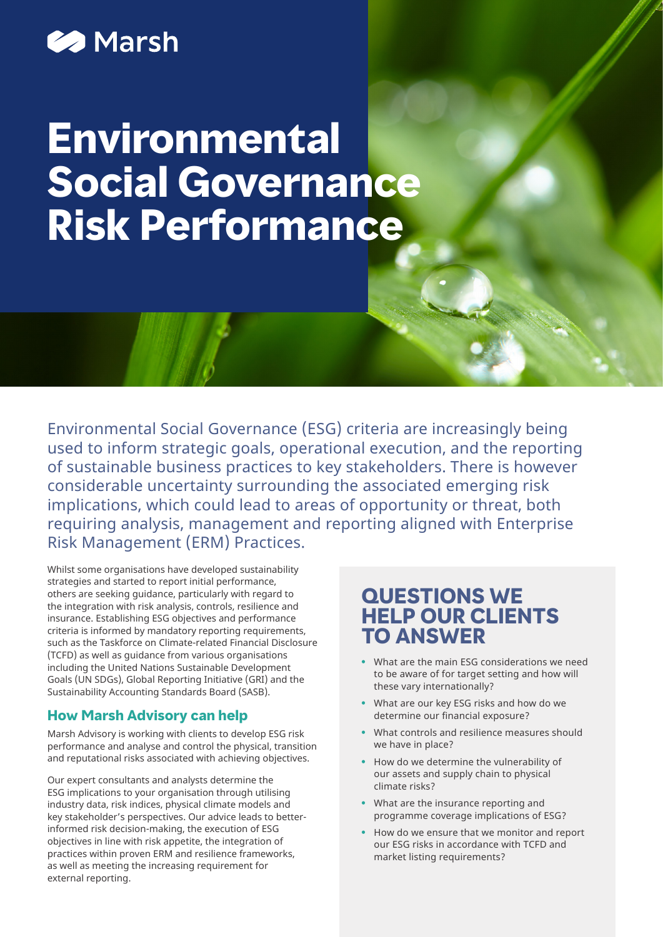## **22 Marsh**

# **Environmental Social Governance Risk Performance**

Environmental Social Governance (ESG) criteria are increasingly being used to inform strategic goals, operational execution, and the reporting of sustainable business practices to key stakeholders. There is however considerable uncertainty surrounding the associated emerging risk implications, which could lead to areas of opportunity or threat, both requiring analysis, management and reporting aligned with Enterprise Risk Management (ERM) Practices.

Whilst some organisations have developed sustainability strategies and started to report initial performance, others are seeking guidance, particularly with regard to the integration with risk analysis, controls, resilience and insurance. Establishing ESG objectives and performance criteria is informed by mandatory reporting requirements, such as the Taskforce on Climate-related Financial Disclosure (TCFD) as well as guidance from various organisations including the United Nations Sustainable Development Goals (UN SDGs), Global Reporting Initiative (GRI) and the Sustainability Accounting Standards Board (SASB).

#### **How Marsh Advisory can help**

Marsh Advisory is working with clients to develop ESG risk performance and analyse and control the physical, transition and reputational risks associated with achieving objectives.

Our expert consultants and analysts determine the ESG implications to your organisation through utilising industry data, risk indices, physical climate models and key stakeholder's perspectives. Our advice leads to betterinformed risk decision-making, the execution of ESG objectives in line with risk appetite, the integration of practices within proven ERM and resilience frameworks, as well as meeting the increasing requirement for external reporting.

## **QUESTIONS WE HELP OUR CLIENTS TO ANSWER**

- **•** What are the main ESG considerations we need to be aware of for target setting and how will these vary internationally?
- **•** What are our key ESG risks and how do we determine our financial exposure?
- **•** What controls and resilience measures should we have in place?
- **•** How do we determine the vulnerability of our assets and supply chain to physical climate risks?
- **•** What are the insurance reporting and programme coverage implications of ESG?
- **•** How do we ensure that we monitor and report our ESG risks in accordance with TCFD and market listing requirements?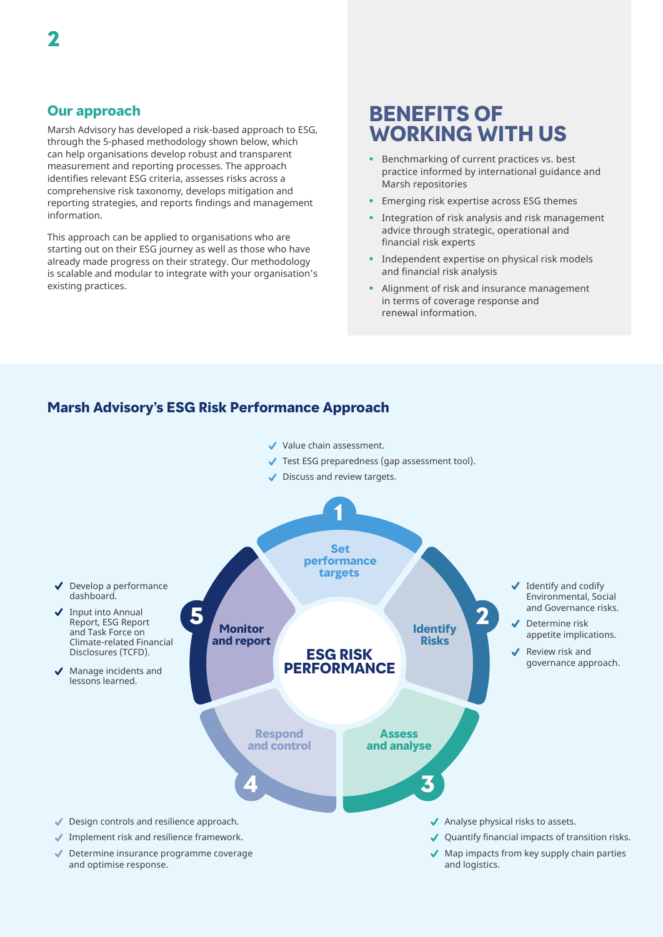Marsh Advisory has developed a risk-based approach to ESG, through the 5-phased methodology shown below, which can help organisations develop robust and transparent measurement and reporting processes. The approach identifies relevant ESG criteria, assesses risks across a comprehensive risk taxonomy, develops mitigation and reporting strategies, and reports findings and management information.

This approach can be applied to organisations who are starting out on their ESG journey as well as those who have already made progress on their strategy. Our methodology is scalable and modular to integrate with your organisation's existing practices.

## **BENEFITS OF WORKING WITH US**

- **•** Benchmarking of current practices vs. best practice informed by international guidance and Marsh repositories
- **•** Emerging risk expertise across ESG themes
- **•** Integration of risk analysis and risk management advice through strategic, operational and financial risk experts
- **•** Independent expertise on physical risk models and financial risk analysis
- **•** Alignment of risk and insurance management in terms of coverage response and renewal information.

#### **Marsh Advisory's ESG Risk Performance Approach**